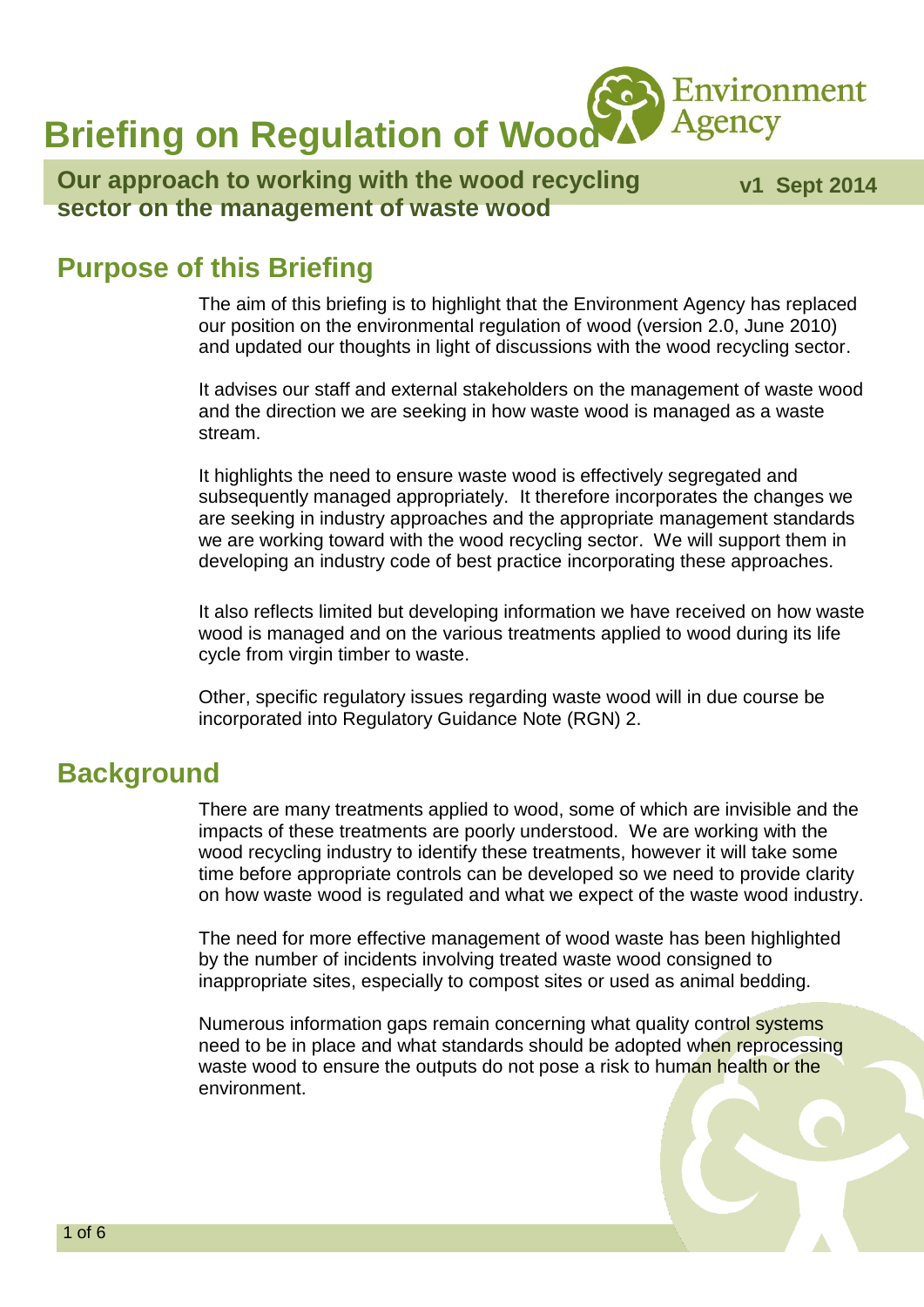Agency **Briefing on Regulation of Wood** 

#### **Our approach to working with the wood recycling sector on the management of waste wood**

 **v1 Sept 2014**

Environment

#### **Purpose of this Briefing**

The aim of this briefing is to highlight that the Environment Agency has replaced our position on the environmental regulation of wood (version 2.0, June 2010) and updated our thoughts in light of discussions with the wood recycling sector.

It advises our staff and external stakeholders on the management of waste wood and the direction we are seeking in how waste wood is managed as a waste stream.

It highlights the need to ensure waste wood is effectively segregated and subsequently managed appropriately. It therefore incorporates the changes we are seeking in industry approaches and the appropriate management standards we are working toward with the wood recycling sector. We will support them in developing an industry code of best practice incorporating these approaches.

It also reflects limited but developing information we have received on how waste wood is managed and on the various treatments applied to wood during its life cycle from virgin timber to waste.

Other, specific regulatory issues regarding waste wood will in due course be incorporated into Regulatory Guidance Note (RGN) 2.

#### **Background**

There are many treatments applied to wood, some of which are invisible and the impacts of these treatments are poorly understood. We are working with the wood recycling industry to identify these treatments, however it will take some time before appropriate controls can be developed so we need to provide clarity on how waste wood is regulated and what we expect of the waste wood industry.

The need for more effective management of wood waste has been highlighted by the number of incidents involving treated waste wood consigned to inappropriate sites, especially to compost sites or used as animal bedding.

Numerous information gaps remain concerning what quality control systems need to be in place and what standards should be adopted when reprocessing waste wood to ensure the outputs do not pose a risk to human health or the environment.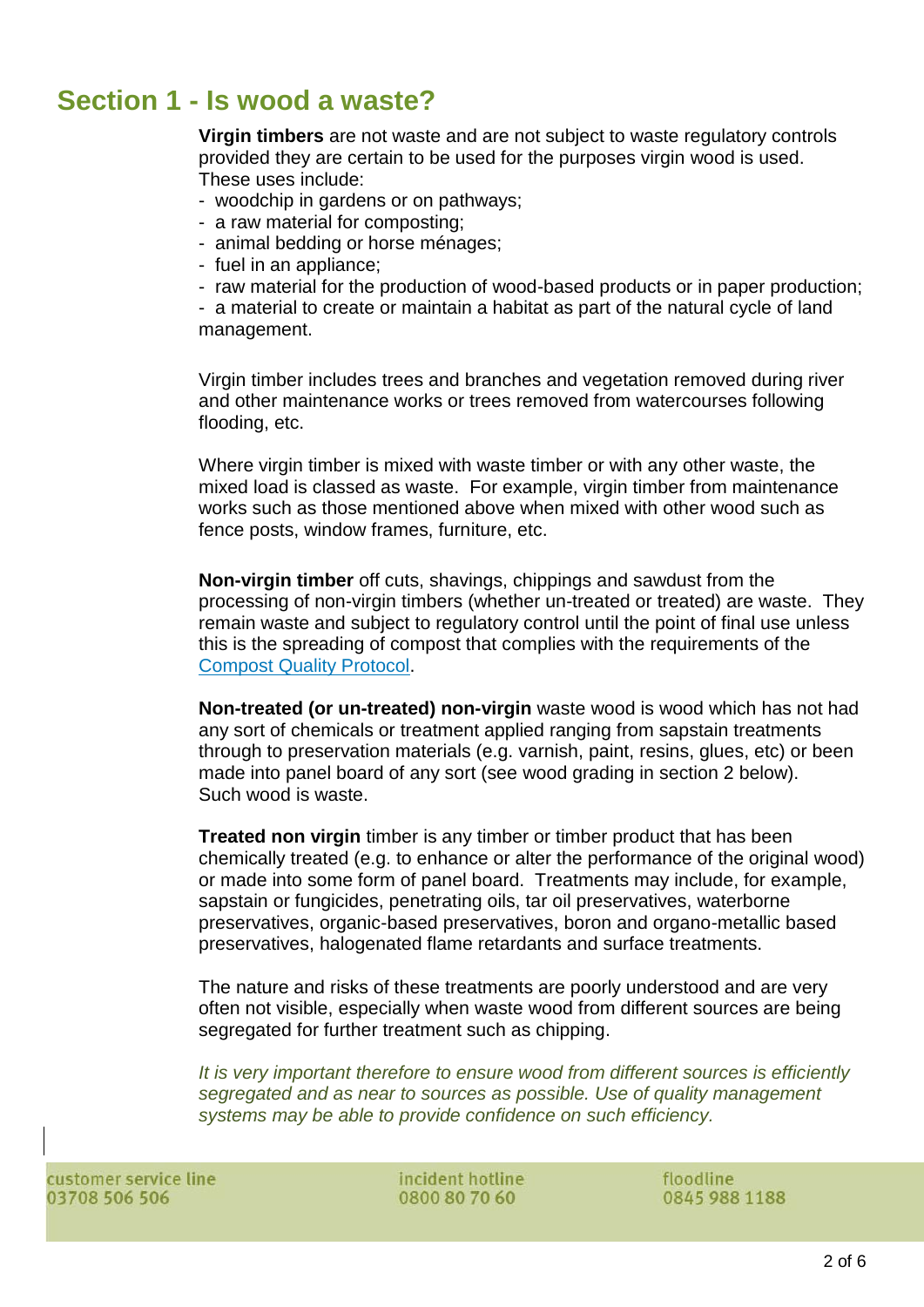# **Section 1 - Is wood a waste?**

**Virgin timbers** are not waste and are not subject to waste regulatory controls provided they are certain to be used for the purposes virgin wood is used. These uses include:

- woodchip in gardens or on pathways;
- a raw material for composting;
- animal bedding or horse ménages;
- fuel in an appliance;
- raw material for the production of wood-based products or in paper production;

- a material to create or maintain a habitat as part of the natural cycle of land management.

Virgin timber includes trees and branches and vegetation removed during river and other maintenance works or trees removed from watercourses following flooding, etc.

Where virgin timber is mixed with waste timber or with any other waste, the mixed load is classed as waste. For example, virgin timber from maintenance works such as those mentioned above when mixed with other wood such as fence posts, window frames, furniture, etc.

**Non-virgin timber** off cuts, shavings, chippings and sawdust from the processing of non-virgin timbers (whether un-treated or treated) are waste. They remain waste and subject to regulatory control until the point of final use unless this is the spreading of compost that complies with the requirements of the [Compost Quality Protocol.](http://www.wrap.org.uk/category/what-we-offer/quality-protocols-and-standards)

**Non-treated (or un-treated) non-virgin** waste wood is wood which has not had any sort of chemicals or treatment applied ranging from sapstain treatments through to preservation materials (e.g. varnish, paint, resins, glues, etc) or been made into panel board of any sort (see wood grading in section 2 below). Such wood is waste.

**Treated non virgin** timber is any timber or timber product that has been chemically treated (e.g. to enhance or alter the performance of the original wood) or made into some form of panel board. Treatments may include, for example, sapstain or fungicides, penetrating oils, tar oil preservatives, waterborne preservatives, organic-based preservatives, boron and organo-metallic based preservatives, halogenated flame retardants and surface treatments.

The nature and risks of these treatments are poorly understood and are very often not visible, especially when waste wood from different sources are being segregated for further treatment such as chipping.

*It is very important therefore to ensure wood from different sources is efficiently segregated and as near to sources as possible. Use of quality management systems may be able to provide confidence on such efficiency.*

customer service line 03708 506 506

incident hotline 0800 80 70 60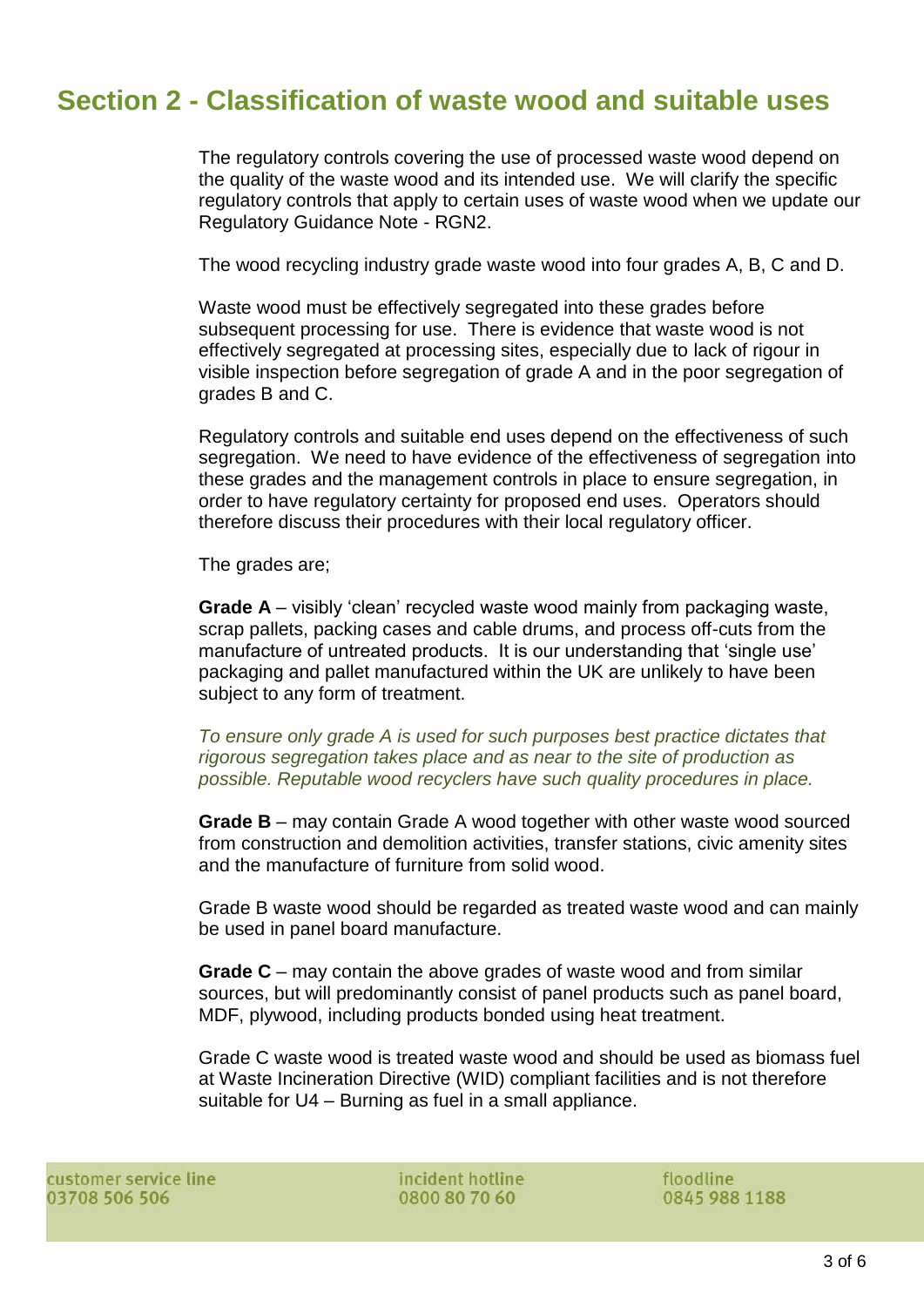# **Section 2 - Classification of waste wood and suitable uses**

The regulatory controls covering the use of processed waste wood depend on the quality of the waste wood and its intended use. We will clarify the specific regulatory controls that apply to certain uses of waste wood when we update our Regulatory Guidance Note - RGN2.

The wood recycling industry grade waste wood into four grades A, B, C and D.

Waste wood must be effectively segregated into these grades before subsequent processing for use. There is evidence that waste wood is not effectively segregated at processing sites, especially due to lack of rigour in visible inspection before segregation of grade A and in the poor segregation of grades B and C.

Regulatory controls and suitable end uses depend on the effectiveness of such segregation. We need to have evidence of the effectiveness of segregation into these grades and the management controls in place to ensure segregation, in order to have regulatory certainty for proposed end uses. Operators should therefore discuss their procedures with their local regulatory officer.

The grades are;

**Grade A** – visibly 'clean' recycled waste wood mainly from packaging waste, scrap pallets, packing cases and cable drums, and process off-cuts from the manufacture of untreated products. It is our understanding that 'single use' packaging and pallet manufactured within the UK are unlikely to have been subject to any form of treatment.

*To ensure only grade A is used for such purposes best practice dictates that rigorous segregation takes place and as near to the site of production as possible. Reputable wood recyclers have such quality procedures in place.*

**Grade B** – may contain Grade A wood together with other waste wood sourced from construction and demolition activities, transfer stations, civic amenity sites and the manufacture of furniture from solid wood.

Grade B waste wood should be regarded as treated waste wood and can mainly be used in panel board manufacture.

**Grade C** – may contain the above grades of waste wood and from similar sources, but will predominantly consist of panel products such as panel board, MDF, plywood, including products bonded using heat treatment.

Grade C waste wood is treated waste wood and should be used as biomass fuel at Waste Incineration Directive (WID) compliant facilities and is not therefore suitable for U4 – Burning as fuel in a small appliance.

customer service line 03708 506 506

incident hotline 0800 80 70 60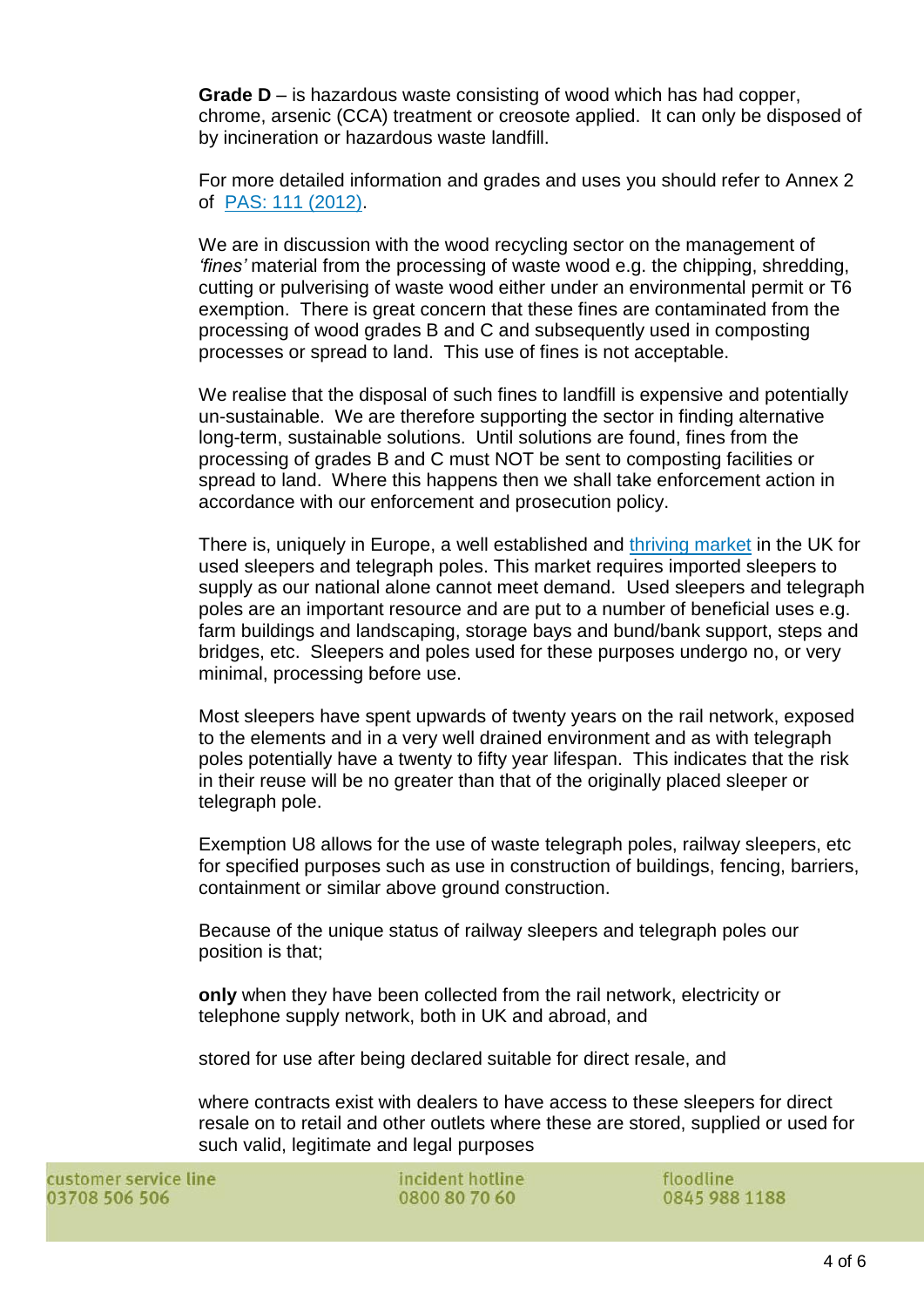**Grade D** – is hazardous waste consisting of wood which has had copper, chrome, arsenic (CCA) treatment or creosote applied. It can only be disposed of by incineration or hazardous waste landfill.

For more detailed information and grades and uses you should refer to Annex 2 of [PAS: 111 \(2012\).](http://www.wrap.org.uk/content/bsi-pas-111-processing-wood-waste)

We are in discussion with the wood recycling sector on the management of *'fines'* material from the processing of waste wood e.g. the chipping, shredding, cutting or pulverising of waste wood either under an environmental permit or T6 exemption. There is great concern that these fines are contaminated from the processing of wood grades B and C and subsequently used in composting processes or spread to land. This use of fines is not acceptable.

We realise that the disposal of such fines to landfill is expensive and potentially un-sustainable. We are therefore supporting the sector in finding alternative long-term, sustainable solutions. Until solutions are found, fines from the processing of grades B and C must NOT be sent to composting facilities or spread to land. Where this happens then we shall take enforcement action in accordance with our enforcement and prosecution policy.

There is, uniquely in Europe, a well established and [thriving market](http://www2.wrap.org.uk/downloads/Options_and_Risk_Assessment_for_Treated_Wood_Waste.a1f7fad0.2237.pdf) in the UK for used sleepers and telegraph poles. This market requires imported sleepers to supply as our national alone cannot meet demand. Used sleepers and telegraph poles are an important resource and are put to a number of beneficial uses e.g. farm buildings and landscaping, storage bays and bund/bank support, steps and bridges, etc. Sleepers and poles used for these purposes undergo no, or very minimal, processing before use.

Most sleepers have spent upwards of twenty years on the rail network, exposed to the elements and in a very well drained environment and as with telegraph poles potentially have a twenty to fifty year lifespan. This indicates that the risk in their reuse will be no greater than that of the originally placed sleeper or telegraph pole.

Exemption U8 allows for the use of waste telegraph poles, railway sleepers, etc for specified purposes such as use in construction of buildings, fencing, barriers, containment or similar above ground construction.

Because of the unique status of railway sleepers and telegraph poles our position is that;

**only** when they have been collected from the rail network, electricity or telephone supply network, both in UK and abroad, and

stored for use after being declared suitable for direct resale, and

where contracts exist with dealers to have access to these sleepers for direct resale on to retail and other outlets where these are stored, supplied or used for such valid, legitimate and legal purposes

incident hotline 0800 80 70 60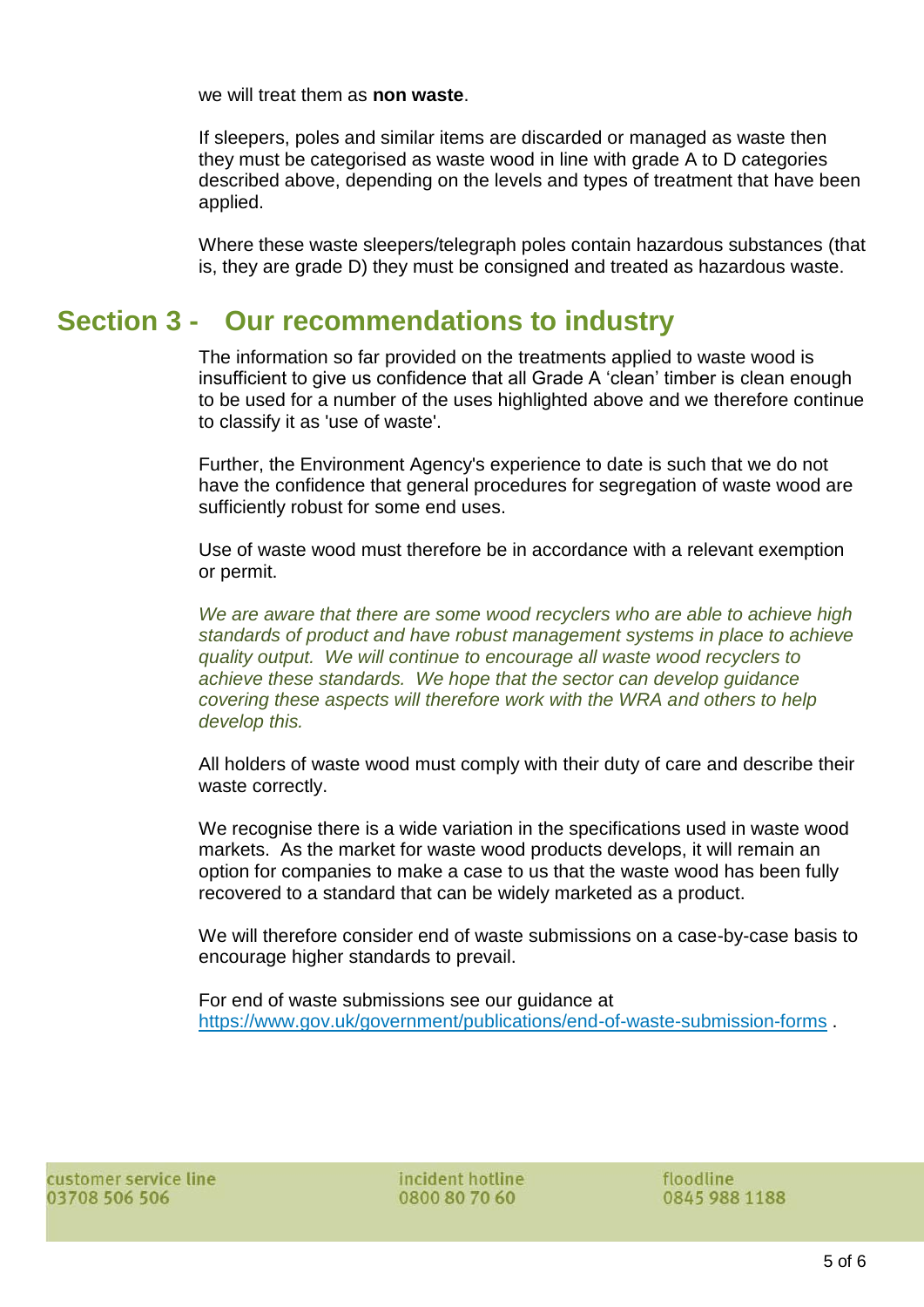we will treat them as **non waste**.

If sleepers, poles and similar items are discarded or managed as waste then they must be categorised as waste wood in line with grade A to D categories described above, depending on the levels and types of treatment that have been applied.

Where these waste sleepers/telegraph poles contain hazardous substances (that is, they are grade D) they must be consigned and treated as hazardous waste.

### **Section 3 - Our recommendations to industry**

The information so far provided on the treatments applied to waste wood is insufficient to give us confidence that all Grade A 'clean' timber is clean enough to be used for a number of the uses highlighted above and we therefore continue to classify it as 'use of waste'.

Further, the Environment Agency's experience to date is such that we do not have the confidence that general procedures for segregation of waste wood are sufficiently robust for some end uses.

Use of waste wood must therefore be in accordance with a relevant exemption or permit.

*We are aware that there are some wood recyclers who are able to achieve high standards of product and have robust management systems in place to achieve quality output. We will continue to encourage all waste wood recyclers to achieve these standards. We hope that the sector can develop guidance covering these aspects will therefore work with the WRA and others to help develop this.* 

All holders of waste wood must comply with their duty of care and describe their waste correctly.

We recognise there is a wide variation in the specifications used in waste wood markets. As the market for waste wood products develops, it will remain an option for companies to make a case to us that the waste wood has been fully recovered to a standard that can be widely marketed as a product.

We will therefore consider end of waste submissions on a case-by-case basis to encourage higher standards to prevail.

For end of waste submissions see our guidance at <https://www.gov.uk/government/publications/end-of-waste-submission-forms> .

incident hotline 0800 80 70 60